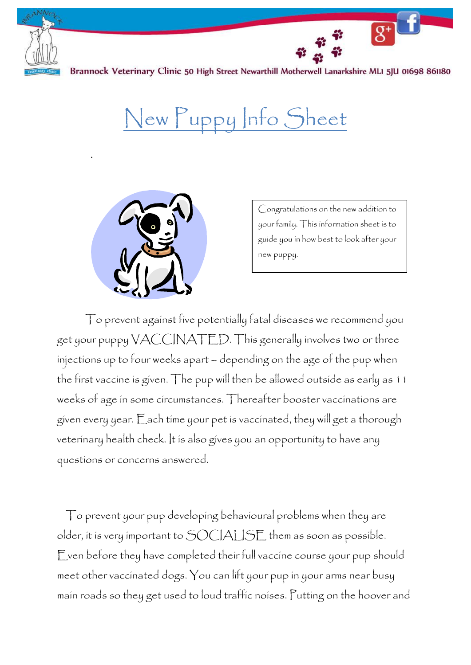

.

Brannock Veterinary Clinic 50 High Street Newarthill Motherwell Lanarkshire MLI 5JU 01698 861180

## New Puppy Info Sheet



Congratulations on the new addition to your family. This information sheet is to guide you in how best to look after your new puppy.

To prevent against five potentially fatal diseases we recommend you get your puppy  $\mathsf{V}\mathsf{ACC}\mathsf{INATED}.$  This generally involves two or three injections up to four weeks apart – depending on the age of the pup when the first vaccine is given. The pup will then be allowed outside as early as 11 weeks of age in some circumstances. Thereafter booster vaccinations are given every year. Each time your pet is vaccinated, they will get a thorough veterinary health check. It is also gives you an opportunity to have any questions or concerns answered.

To prevent your pup developing behavioural problems when they are older, it is very important to SOCIALISE them as soon as possible. Even before they have completed their full vaccine course your pup should meet other vaccinated dogs. You can lift your pup in your arms near busy main roads so they get used to loud traffic noises. Putting on the hoover and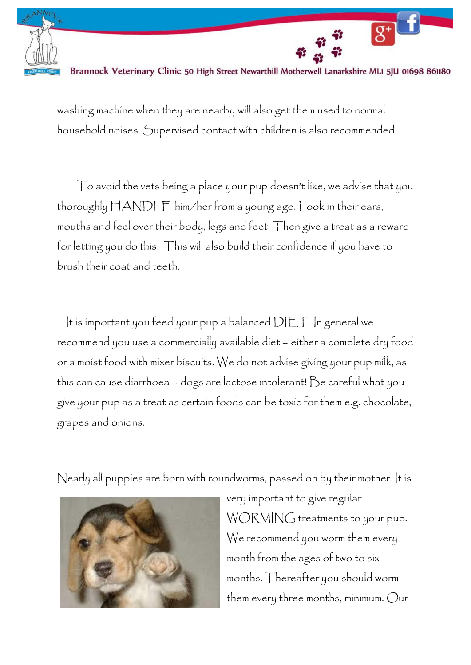

Brannock Veterinary Clinic 50 High Street Newarthill Motherwell Lanarkshire MLI 5JU 01698 861180

 $\overline{g^+}$ 

washing machine when they are nearby will also get them used to normal household noises. Supervised contact with children is also recommended.

To avoid the vets being a place your pup doesn't like, we advise that you thoroughly HANDLE him/her from a young age. Look in their ears, mouths and feel over their body, legs and feet. Then give a treat as a reward for letting you do this. This will also build their confidence if you have to brush their coat and teeth.

It is important you feed your pup a balanced  $\text{DEF}$ . In general we recommend you use a commercially available diet – either a complete dry food or a moist food with mixer biscuits. We do not advise giving your pup milk, as this can cause diarrhoea – dogs are lactose intolerant! Be careful what you give your pup as a treat as certain foods can be toxic for them e.g. chocolate, grapes and onions.

Nearly all puppies are born with roundworms, passed on by their mother. It is



very important to give regular WORMING treatments to your pup. We recommend you worm them every month from the ages of two to six months. Thereafter you should worm them every three months, minimum. Our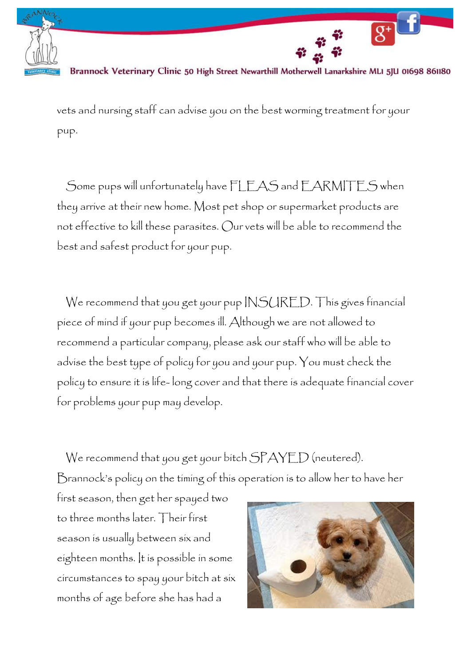

Brannock Veterinary Clinic 50 High Street Newarthill Motherwell Lanarkshire MLI 5JU 01698 861180

 $\overline{g^+}$ 

vets and nursing staff can advise you on the best worming treatment for your pup.

Some pups will unfortunately have FLEAS and EARMITES when they arrive at their new home. Most pet shop or supermarket products are not effective to kill these parasites. Our vets will be able to recommend the best and safest product for your pup.

We recommend that you get your pup INSURED. This gives financial piece of mind if your pup becomes ill. Although we are not allowed to recommend a particular company, please ask our staff who will be able to advise the best type of policy for you and your pup. You must check the policy to ensure it is life- long cover and that there is adequate financial cover for problems your pup may develop.

We recommend that you get your bitch SPAYED (neutered). Brannock's policy on the timing of this operation is to allow her to have her

first season, then get her spayed two to three months later. Their first season is usually between six and eighteen months. It is possible in some circumstances to spay your bitch at six months of age before she has had a